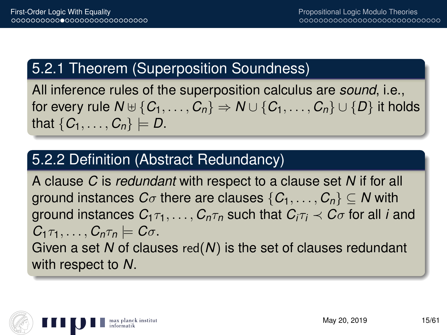## 5.2.1 Theorem (Superposition Soundness)

All inference rules of the superposition calculus are *sound*, i.e., for every rule  $N \oplus \{C_1, \ldots, C_n\} \Rightarrow N \cup \{C_1, \ldots, C_n\} \cup \{D\}$  it holds that  $\{C_1, \ldots, C_n\} \models D$ .

## 5.2.2 Definition (Abstract Redundancy)

A clause *C* is *redundant* with respect to a clause set *N* if for all ground instances  $C_{\sigma}$  there are clauses  $\{C_1, \ldots, C_n\} \subseteq N$  with ground instances  $C_{1} \tau_{1}, \ldots, C_{n} \tau_{n}$  such that  $C_{i} \tau_{i} \prec C_{\sigma}$  for all *i* and  $C_1 \tau_1, \ldots, C_n \tau_n \models C \sigma$ . Given a set *N* of clauses red(*N*) is the set of clauses redundant with respect to *N*.